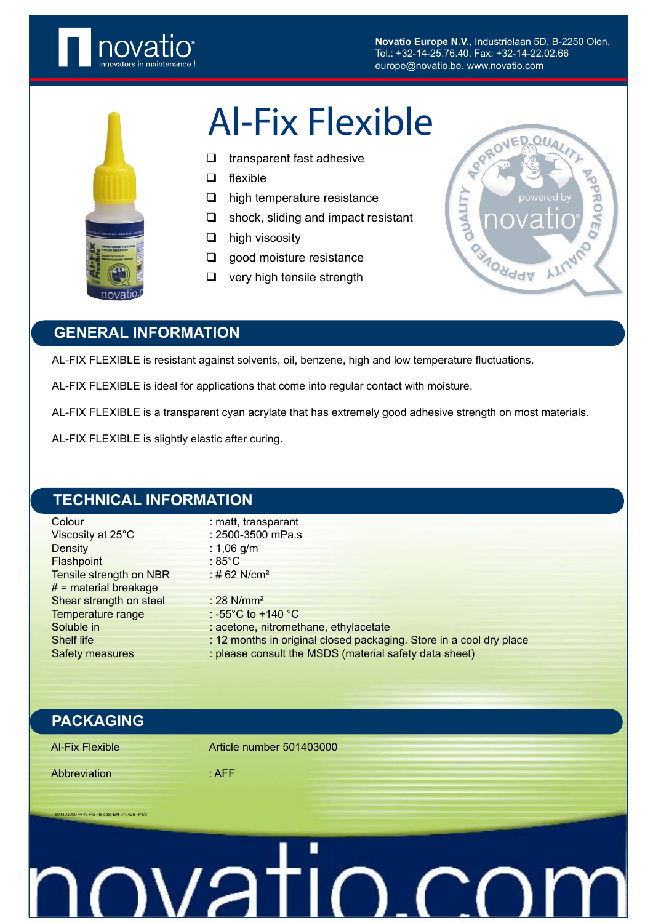

**Novatio Europe N.V.,** Industrielaan 5D, B-2250 Olen, Tel.: +32-14-25.76.40, Fax: +32-14-22.02.66 europe@novatio.be, www.novatio.com



# Al-Fix Flexible

- $\Box$  transparent fast adhesive
- $\Box$  flexible
- $\Box$  high temperature resistance
- $\Box$  shock, sliding and impact resistant
- $\Box$  high viscosity
- $\Box$  good moisture resistance
- $\Box$  very high tensile strength



## **GENERAL INFORMATION**

AL-FIX FLEXIBLE is resistant against solvents, oil, benzene, high and low temperature fluctuations.

AL-FIX FLEXIBLE is ideal for applications that come into regular contact with moisture.

AL-FIX FLEXIBLE is a transparent cyan acrylate that has extremely good adhesive strength on most materials.

AL-FIX FLEXIBLE is slightly elastic after curing.

## **TECHNICAL INFORMATION**

| Colour                  | : matt, transparant                                                 |
|-------------------------|---------------------------------------------------------------------|
| Viscosity at 25°C       | : 2500-3500 mPa.s                                                   |
| Density                 | : 1,06 g/m                                                          |
| Flashpoint              | : 85 $^{\circ}$ C                                                   |
| Tensile strength on NBR | : #62 $N/cm^2$                                                      |
| $#$ = material breakage |                                                                     |
| Shear strength on steel | : 28 $N/mm^2$                                                       |
| Temperature range       | : -55 $^{\circ}$ C to +140 $^{\circ}$ C                             |
| Soluble in              | : acetone, nitromethane, ethylacetate                               |
| <b>Shelf life</b>       | : 12 months in original closed packaging. Store in a cool dry place |
| <b>Safety measures</b>  | : please consult the MSDS (material safety data sheet)              |
|                         |                                                                     |

## **PACKAGING** Al-Fix Flexible **Article number 501403000** Abbreviation : AFF 501403000-PI-Al-Fix Flexible-EN-070426--P1/2 <u>nvatı</u> **)** ( **11**